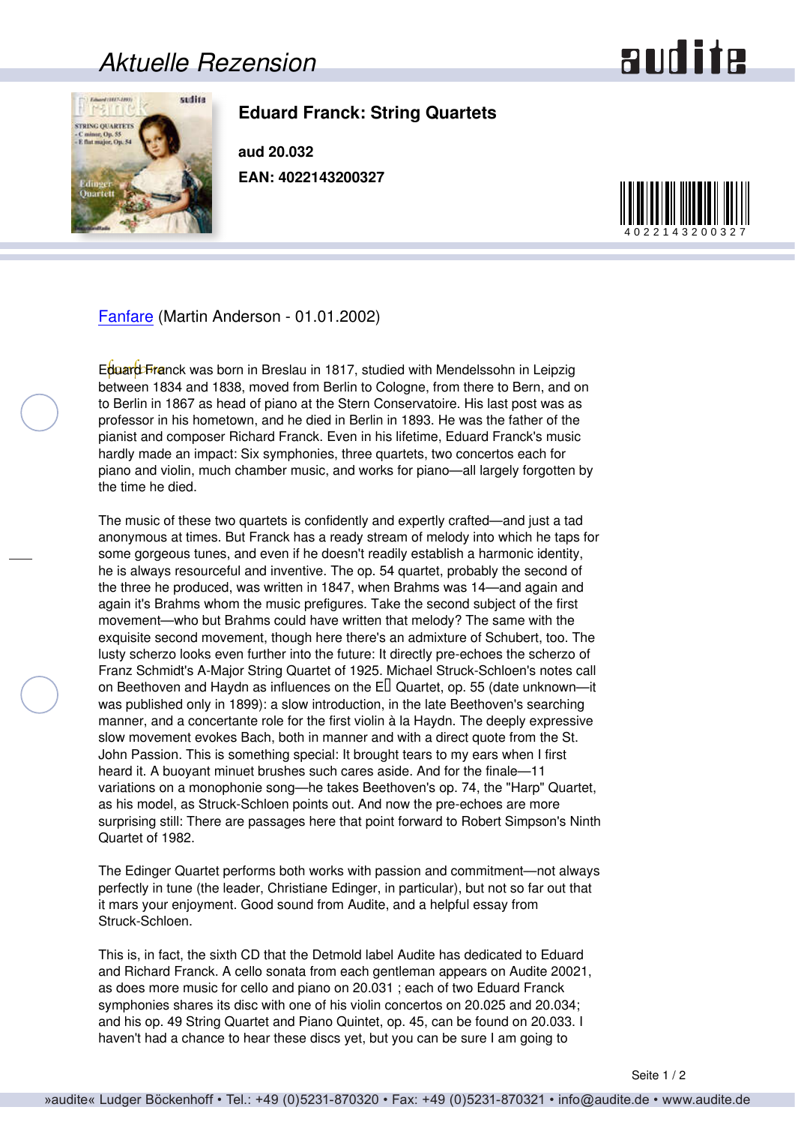## *Aktuelle Rezension*



## **Eduard Franck: String Quartets**

**aud 20.032 EAN: 4022143200327**



[Fanfare](http://www.fanfaremag.com/) (Martin Anderson - 01.01.2002)

Eduard Franck was born in Breslau in 1817, studied with Mendelssohn in Leipzig between 1834 and 1838, moved from Berlin to Cologne, from there to Bern, and on to Berlin in 1867 as head of piano at the Stern Conservatoire. His last post was as professor in his hometown, and he died in Berlin in 1893. He was the father of the pianist and composer Richard Franck. Even in his lifetime, Eduard Franck's music hardly made an impact: Six symphonies, three quartets, two concertos each for piano and violin, much chamber music, and works for piano—all largely forgotten by the time he died.

The music of these two quartets is confidently and expertly crafted—and just a tad anonymous at times. But Franck has a ready stream of melody into which he taps for some gorgeous tunes, and even if he doesn't readily establish a harmonic identity, he is always resourceful and inventive. The op. 54 quartet, probably the second of the three he produced, was written in 1847, when Brahms was 14—and again and again it's Brahms whom the music prefigures. Take the second subject of the first movement—who but Brahms could have written that melody? The same with the exquisite second movement, though here there's an admixture of Schubert, too. The lusty scherzo looks even further into the future: It directly pre-echoes the scherzo of Franz Schmidt's A-Major String Quartet of 1925. Michael Struck-Schloen's notes call on Beethoven and Haydn as influences on the E□ Quartet, op. 55 (date unknown—it was published only in 1899): a slow introduction, in the late Beethoven's searching manner, and a concertante role for the first violin à la Haydn. The deeply expressive slow movement evokes Bach, both in manner and with a direct quote from the St. John Passion. This is something special: It brought tears to my ears when I first heard it. A buoyant minuet brushes such cares aside. And for the finale—11 variations on a monophonie song—he takes Beethoven's op. 74, the "Harp" Quartet, as his model, as Struck-Schloen points out. And now the pre-echoes are more surprising still: There are passages here that point forward to Robert Simpson's Ninth Quartet of 1982.

The Edinger Quartet performs both works with passion and commitment—not always perfectly in tune (the leader, Christiane Edinger, in particular), but not so far out that it mars your enjoyment. Good sound from Audite, and a helpful essay from Struck-Schloen.

This is, in fact, the sixth CD that the Detmold label Audite has dedicated to Eduard and Richard Franck. A cello sonata from each gentleman appears on Audite 20021, as does more music for cello and piano on 20.031 ; each of two Eduard Franck symphonies shares its disc with one of his violin concertos on 20.025 and 20.034; and his op. 49 String Quartet and Piano Quintet, op. 45, can be found on 20.033. I haven't had a chance to hear these discs yet, but you can be sure I am going to